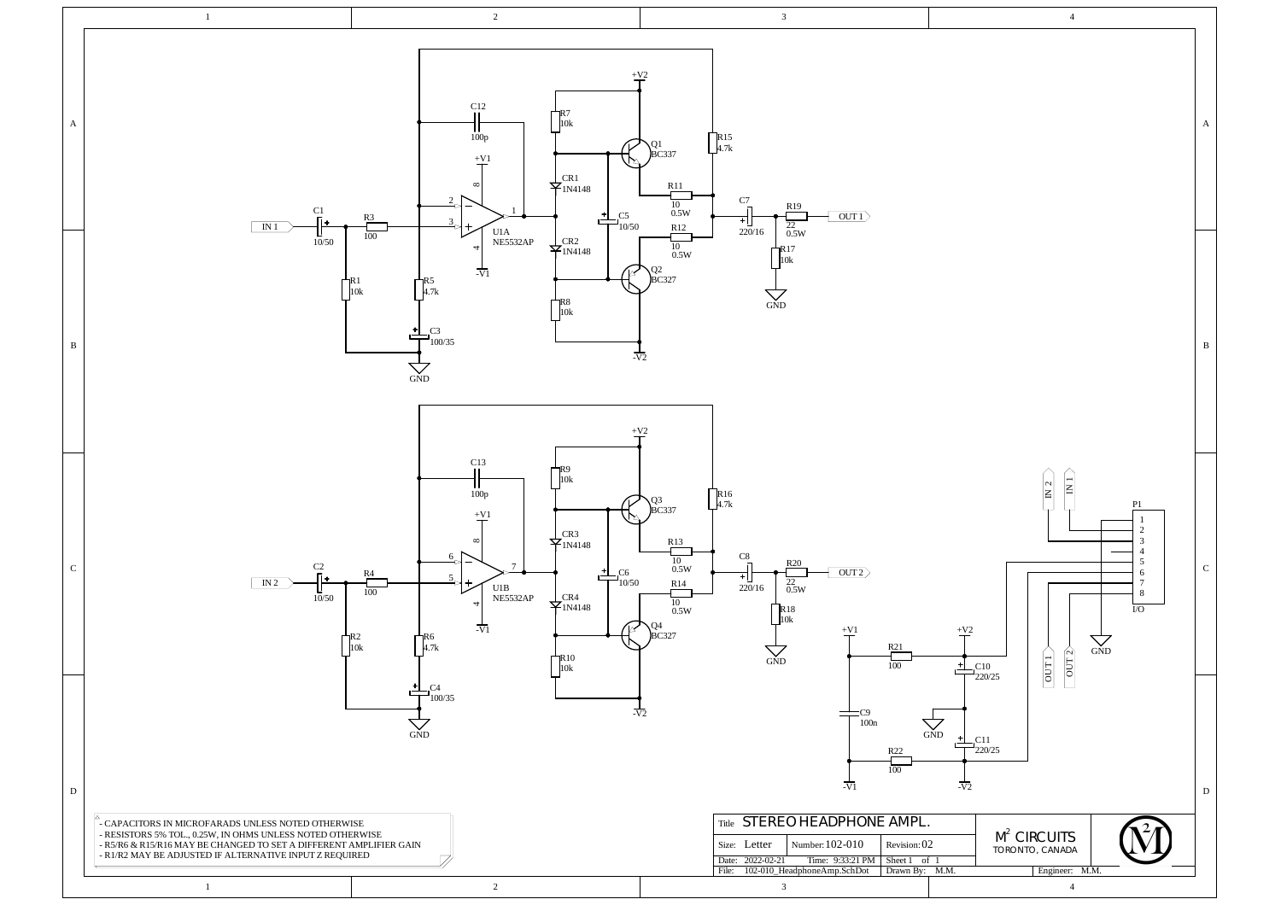